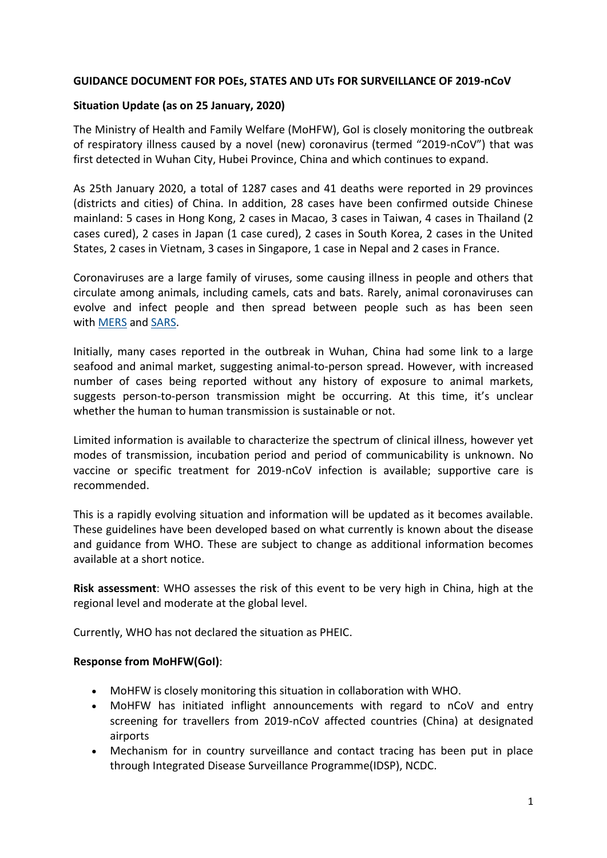### **GUIDANCE DOCUMENT FOR POEs, STATES AND UTs FOR SURVEILLANCE OF 2019-nCoV**

### **Situation Update (as on 25 January, 2020)**

The Ministry of Health and Family Welfare (MoHFW), GoI is closely monitoring the outbreak of respiratory illness caused by a novel (new) coronavirus (termed "2019-nCoV") that was first detected in Wuhan City, Hubei Province, China and which continues to expand.

As 25th January 2020, a total of 1287 cases and 41 deaths were reported in 29 provinces (districts and cities) of China. In addition, 28 cases have been confirmed outside Chinese mainland: 5 cases in Hong Kong, 2 cases in Macao, 3 cases in Taiwan, 4 cases in Thailand (2 cases cured), 2 cases in Japan (1 case cured), 2 cases in South Korea, 2 cases in the United States, 2 cases in Vietnam, 3 cases in Singapore, 1 case in Nepal and 2 cases in France.

Coronaviruses are a large family of viruses, some causing illness in people and others that circulate among animals, including camels, cats and bats. Rarely, animal coronaviruses can evolve and infect people and then spread between people such as has been seen with [MERS](https://www.cdc.gov/coronavirus/mers/index.html) and [SARS.](https://www.cdc.gov/sars/index.html)

Initially, many cases reported in the outbreak in Wuhan, China had some link to a large seafood and animal market, suggesting animal-to-person spread. However, with increased number of cases being reported without any history of exposure to animal markets, suggests person-to-person transmission might be occurring. At this time, it's unclear whether the human to human transmission is sustainable or not.

Limited information is available to characterize the spectrum of clinical illness, however yet modes of transmission, incubation period and period of communicability is unknown. No vaccine or specific treatment for 2019-nCoV infection is available; supportive care is recommended.

This is a rapidly evolving situation and information will be updated as it becomes available. These guidelines have been developed based on what currently is known about the disease and guidance from WHO. These are subject to change as additional information becomes available at a short notice.

**Risk assessment**: WHO assesses the risk of this event to be very high in China, high at the regional level and moderate at the global level.

Currently, WHO has not declared the situation as PHEIC.

### **Response from MoHFW(GoI)**:

- MoHFW is closely monitoring this situation in collaboration with WHO.
- MoHFW has initiated inflight announcements with regard to nCoV and entry screening for travellers from 2019-nCoV affected countries (China) at designated airports
- Mechanism for in country surveillance and contact tracing has been put in place through Integrated Disease Surveillance Programme(IDSP), NCDC.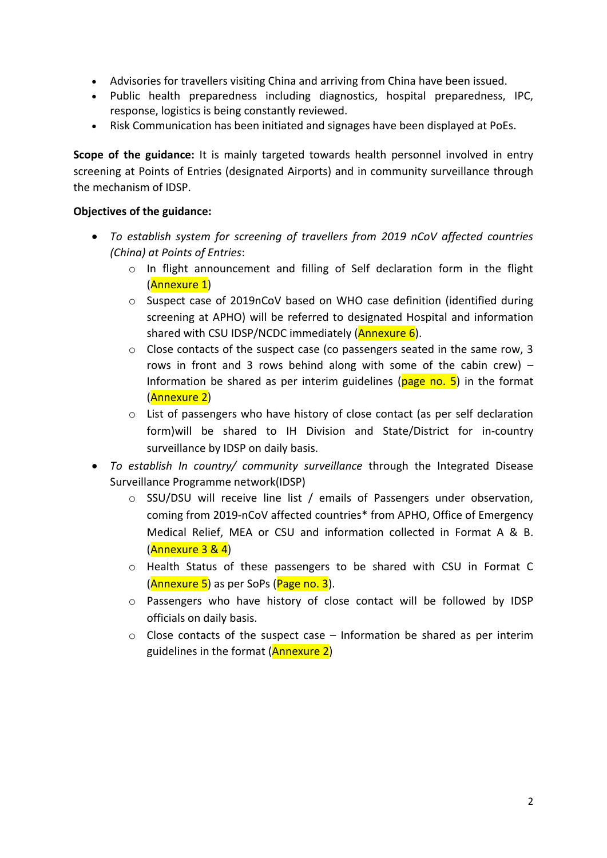- Advisories for travellers visiting China and arriving from China have been issued.
- Public health preparedness including diagnostics, hospital preparedness, IPC, response, logistics is being constantly reviewed.
- Risk Communication has been initiated and signages have been displayed at PoEs.

**Scope of the guidance:** It is mainly targeted towards health personnel involved in entry screening at Points of Entries (designated Airports) and in community surveillance through the mechanism of IDSP.

### **Objectives of the guidance:**

- *To establish system for screening of travellers from 2019 nCoV affected countries (China) at Points of Entries*:
	- $\circ$  In flight announcement and filling of Self declaration form in the flight (Annexure 1)
	- o Suspect case of 2019nCoV based on WHO case definition (identified during screening at APHO) will be referred to designated Hospital and information shared with CSU IDSP/NCDC immediately  $(Annexure 6)$ .
	- $\circ$  Close contacts of the suspect case (co passengers seated in the same row, 3 rows in front and 3 rows behind along with some of the cabin crew)  $-$ Information be shared as per interim guidelines ( $page$ no. 5) in the format (Annexure 2)
	- o List of passengers who have history of close contact (as per self declaration form)will be shared to IH Division and State/District for in-country surveillance by IDSP on daily basis.
- *To establish In country/ community surveillance* through the Integrated Disease Surveillance Programme network(IDSP)
	- o SSU/DSU will receive line list / emails of Passengers under observation, coming from 2019-nCoV affected countries\* from APHO, Office of Emergency Medical Relief, MEA or CSU and information collected in Format A & B. (Annexure 3 & 4)
	- o Health Status of these passengers to be shared with CSU in Format C (**Annexure 5**) as per SoPs (**Page no. 3**).
	- o Passengers who have history of close contact will be followed by IDSP officials on daily basis.
	- $\circ$  Close contacts of the suspect case Information be shared as per interim guidelines in the format (Annexure 2)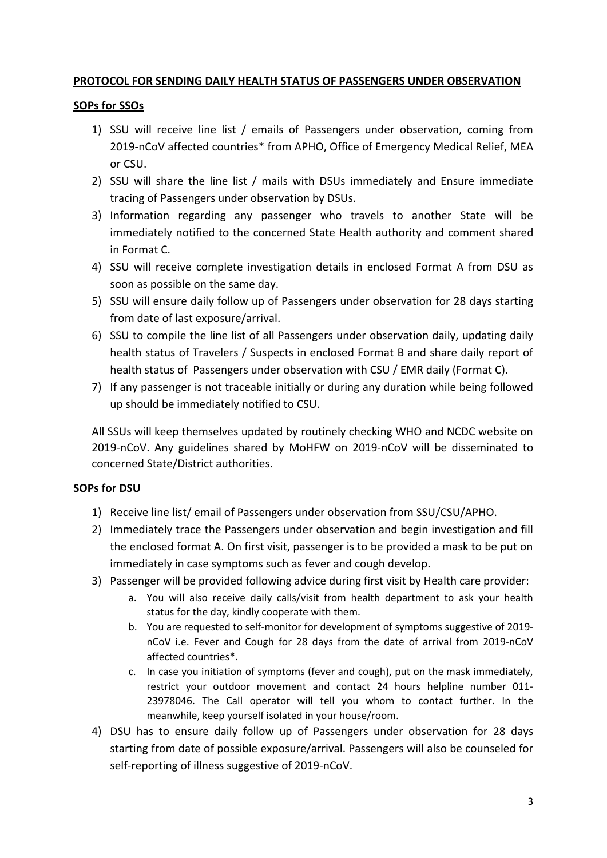# **PROTOCOL FOR SENDING DAILY HEALTH STATUS OF PASSENGERS UNDER OBSERVATION**

## **SOPs for SSOs**

- 1) SSU will receive line list / emails of Passengers under observation, coming from 2019-nCoV affected countries\* from APHO, Office of Emergency Medical Relief, MEA or CSU.
- 2) SSU will share the line list / mails with DSUs immediately and Ensure immediate tracing of Passengers under observation by DSUs.
- 3) Information regarding any passenger who travels to another State will be immediately notified to the concerned State Health authority and comment shared in Format C.
- 4) SSU will receive complete investigation details in enclosed Format A from DSU as soon as possible on the same day.
- 5) SSU will ensure daily follow up of Passengers under observation for 28 days starting from date of last exposure/arrival.
- 6) SSU to compile the line list of all Passengers under observation daily, updating daily health status of Travelers / Suspects in enclosed Format B and share daily report of health status of Passengers under observation with CSU / EMR daily (Format C).
- 7) If any passenger is not traceable initially or during any duration while being followed up should be immediately notified to CSU.

All SSUs will keep themselves updated by routinely checking WHO and NCDC website on 2019-nCoV. Any guidelines shared by MoHFW on 2019-nCoV will be disseminated to concerned State/District authorities.

# **SOPs for DSU**

- 1) Receive line list/ email of Passengers under observation from SSU/CSU/APHO.
- 2) Immediately trace the Passengers under observation and begin investigation and fill the enclosed format A. On first visit, passenger is to be provided a mask to be put on immediately in case symptoms such as fever and cough develop.
- 3) Passenger will be provided following advice during first visit by Health care provider:
	- a. You will also receive daily calls/visit from health department to ask your health status for the day, kindly cooperate with them.
	- b. You are requested to self-monitor for development of symptoms suggestive of 2019 nCoV i.e. Fever and Cough for 28 days from the date of arrival from 2019-nCoV affected countries\*.
	- c. In case you initiation of symptoms (fever and cough), put on the mask immediately, restrict your outdoor movement and contact 24 hours helpline number 011- 23978046. The Call operator will tell you whom to contact further. In the meanwhile, keep yourself isolated in your house/room.
- 4) DSU has to ensure daily follow up of Passengers under observation for 28 days starting from date of possible exposure/arrival. Passengers will also be counseled for self-reporting of illness suggestive of 2019-nCoV.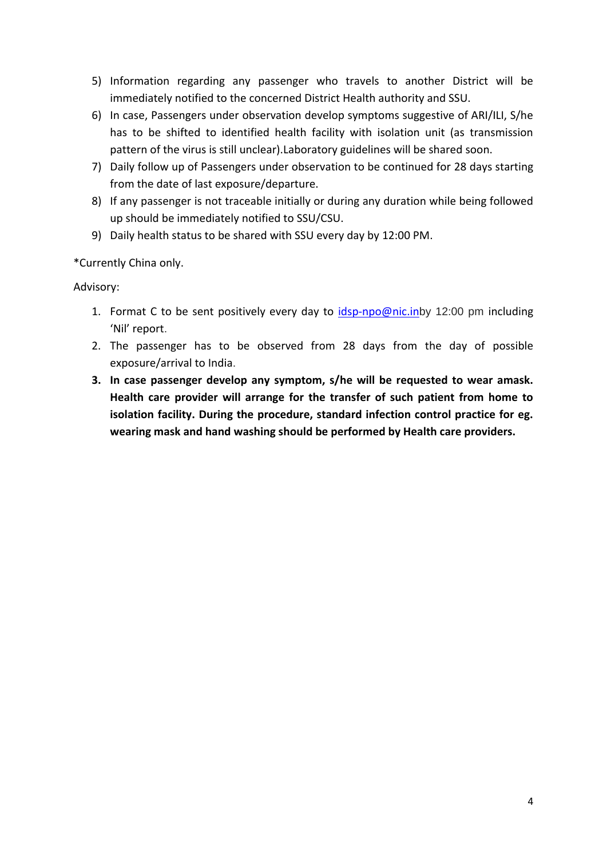- 5) Information regarding any passenger who travels to another District will be immediately notified to the concerned District Health authority and SSU.
- 6) In case, Passengers under observation develop symptoms suggestive of ARI/ILI, S/he has to be shifted to identified health facility with isolation unit (as transmission pattern of the virus is still unclear).Laboratory guidelines will be shared soon.
- 7) Daily follow up of Passengers under observation to be continued for 28 days starting from the date of last exposure/departure.
- 8) If any passenger is not traceable initially or during any duration while being followed up should be immediately notified to SSU/CSU.
- 9) Daily health status to be shared with SSU every day by 12:00 PM.

\*Currently China only.

Advisory:

- 1. Format C to be sent positively every day to [idsp-npo@nic.in](mailto:idsp-npo@nic.in)by 12:00 pm including 'Nil' report.
- 2. The passenger has to be observed from 28 days from the day of possible exposure/arrival to India.
- **3. In case passenger develop any symptom, s/he will be requested to wear amask. Health care provider will arrange for the transfer of such patient from home to isolation facility. During the procedure, standard infection control practice for eg. wearing mask and hand washing should be performed by Health care providers.**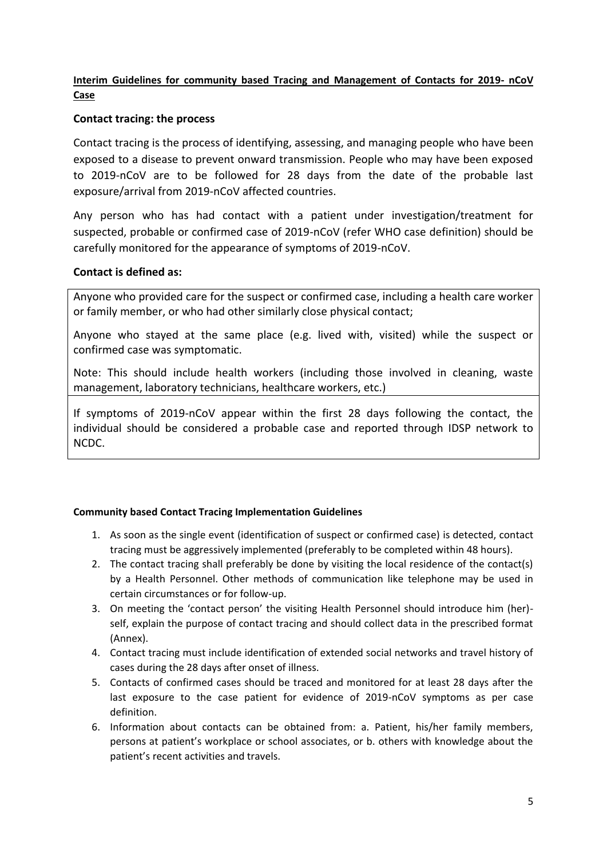## **Interim Guidelines for community based Tracing and Management of Contacts for 2019- nCoV Case**

### **Contact tracing: the process**

Contact tracing is the process of identifying, assessing, and managing people who have been exposed to a disease to prevent onward transmission. People who may have been exposed to 2019-nCoV are to be followed for 28 days from the date of the probable last exposure/arrival from 2019-nCoV affected countries.

Any person who has had contact with a patient under investigation/treatment for suspected, probable or confirmed case of 2019-nCoV (refer WHO case definition) should be carefully monitored for the appearance of symptoms of 2019-nCoV.

### **Contact is defined as:**

Anyone who provided care for the suspect or confirmed case, including a health care worker or family member, or who had other similarly close physical contact;

Anyone who stayed at the same place (e.g. lived with, visited) while the suspect or confirmed case was symptomatic.

Note: This should include health workers (including those involved in cleaning, waste management, laboratory technicians, healthcare workers, etc.)

If symptoms of 2019-nCoV appear within the first 28 days following the contact, the individual should be considered a probable case and reported through IDSP network to NCDC.

### **Community based Contact Tracing Implementation Guidelines**

- 1. As soon as the single event (identification of suspect or confirmed case) is detected, contact tracing must be aggressively implemented (preferably to be completed within 48 hours).
- 2. The contact tracing shall preferably be done by visiting the local residence of the contact(s) by a Health Personnel. Other methods of communication like telephone may be used in certain circumstances or for follow-up.
- 3. On meeting the 'contact person' the visiting Health Personnel should introduce him (her) self, explain the purpose of contact tracing and should collect data in the prescribed format (Annex).
- 4. Contact tracing must include identification of extended social networks and travel history of cases during the 28 days after onset of illness.
- 5. Contacts of confirmed cases should be traced and monitored for at least 28 days after the last exposure to the case patient for evidence of 2019-nCoV symptoms as per case definition.
- 6. Information about contacts can be obtained from: a. Patient, his/her family members, persons at patient's workplace or school associates, or b. others with knowledge about the patient's recent activities and travels.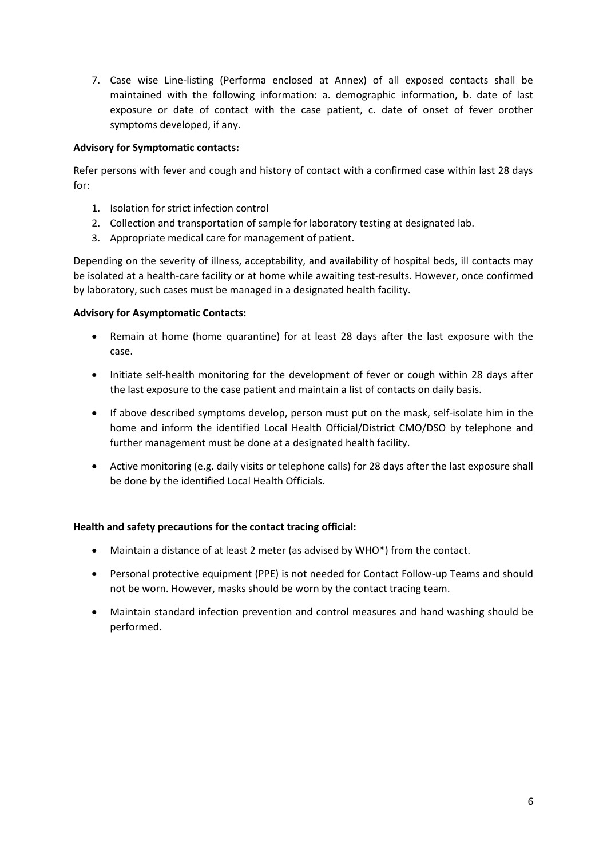7. Case wise Line-listing (Performa enclosed at Annex) of all exposed contacts shall be maintained with the following information: a. demographic information, b. date of last exposure or date of contact with the case patient, c. date of onset of fever orother symptoms developed, if any.

### **Advisory for Symptomatic contacts:**

Refer persons with fever and cough and history of contact with a confirmed case within last 28 days for:

- 1. Isolation for strict infection control
- 2. Collection and transportation of sample for laboratory testing at designated lab.
- 3. Appropriate medical care for management of patient.

Depending on the severity of illness, acceptability, and availability of hospital beds, ill contacts may be isolated at a health-care facility or at home while awaiting test-results. However, once confirmed by laboratory, such cases must be managed in a designated health facility.

### **Advisory for Asymptomatic Contacts:**

- Remain at home (home quarantine) for at least 28 days after the last exposure with the case.
- Initiate self-health monitoring for the development of fever or cough within 28 days after the last exposure to the case patient and maintain a list of contacts on daily basis.
- If above described symptoms develop, person must put on the mask, self-isolate him in the home and inform the identified Local Health Official/District CMO/DSO by telephone and further management must be done at a designated health facility.
- Active monitoring (e.g. daily visits or telephone calls) for 28 days after the last exposure shall be done by the identified Local Health Officials.

### **Health and safety precautions for the contact tracing official:**

- Maintain a distance of at least 2 meter (as advised by WHO\*) from the contact.
- Personal protective equipment (PPE) is not needed for Contact Follow-up Teams and should not be worn. However, masks should be worn by the contact tracing team.
- Maintain standard infection prevention and control measures and hand washing should be performed.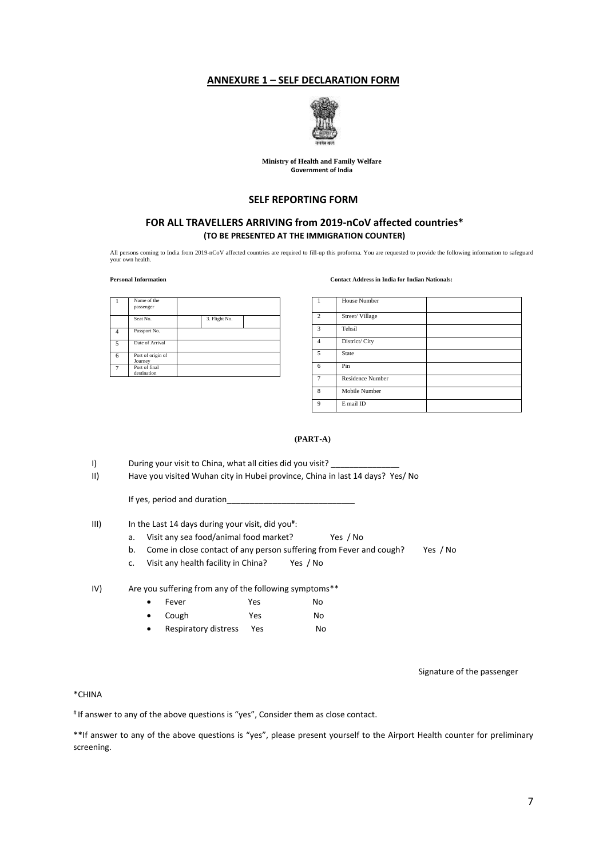### **ANNEXURE 1 – SELF DECLARATION FORM**



#### **Ministry of Health and Family Welfare Government of India**

### **SELF REPORTING FORM**

### **FOR ALL TRAVELLERS ARRIVING from 2019-nCoV affected countries\* (TO BE PRESENTED AT THE IMMIGRATION COUNTER)**

All persons coming to India from 2019-nCoV affected countries are required to fill-up this proforma. You are requested to provide the following information to safeguard your own health.

### **Personal Information Contact Address in India for Indian Nationals:**

|                       | Name of the<br>passenger     |               |  |
|-----------------------|------------------------------|---------------|--|
|                       | Seat No.                     | 3. Flight No. |  |
|                       | Passport No.                 |               |  |
| $\tilde{\phantom{a}}$ | Date of Arrival              |               |  |
| 6                     | Port of origin of<br>Journey |               |  |
|                       | Port of final<br>destination |               |  |

|                | <b>House Number</b>     |
|----------------|-------------------------|
| $\overline{2}$ | Street/Village          |
| 3              | Tehsil                  |
| $\overline{4}$ | District/ City          |
| 5              | State                   |
| 6              | Pin                     |
| $\overline{7}$ | <b>Residence Number</b> |
| 8              | Mobile Number           |
| 9              | E mail ID               |

### **(PART-A)**

I) During your visit to China, what all cities did you visit?

II) Have you visited Wuhan city in Hubei province, China in last 14 days? Yes/ No

If yes, period and duration

### III) In the Last 14 days during your visit, did you<sup>#</sup>:

- a. Visit any sea food/animal food market? Yes / No
- b. Come in close contact of any person suffering from Fever and cough? Yes / No
- c. Visit any health facility in China? Yes / No

IV) Are you suffering from any of the following symptoms\*\*

| $\bullet$ | Fever | Yes | No |
|-----------|-------|-----|----|
| $\bullet$ | Cough | Yes | No |

Respiratory distress Yes No

### Signature of the passenger

### \*CHINA

# If answer to any of the above questions is "yes", Consider them as close contact.

\*\*If answer to any of the above questions is "yes", please present yourself to the Airport Health counter for preliminary screening.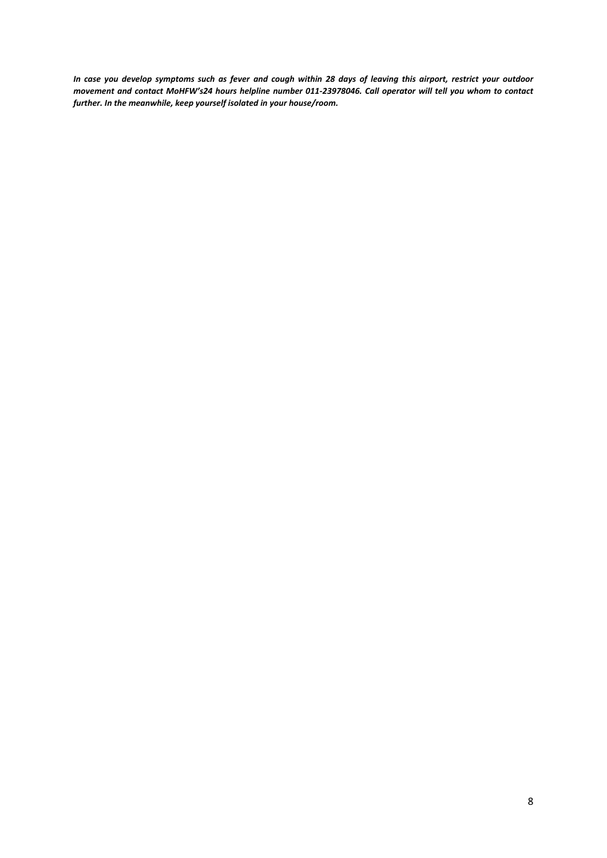*In case you develop symptoms such as fever and cough within 28 days of leaving this airport, restrict your outdoor movement and contact MoHFW's24 hours helpline number 011-23978046. Call operator will tell you whom to contact further. In the meanwhile, keep yourself isolated in your house/room.*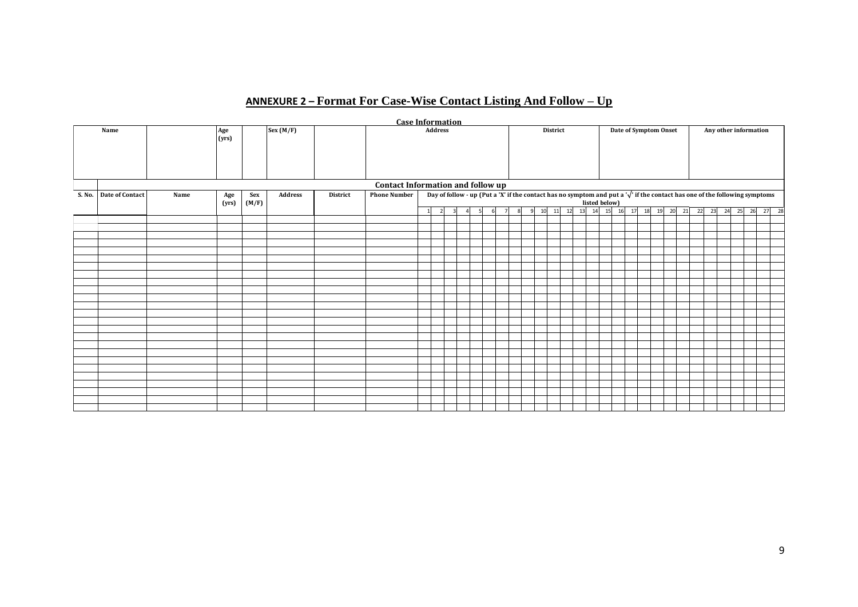# **ANNEXURE 2 – Format For Case-Wise Contact Listing And Follow – Up**

|                        |      |              |       |          |          | <b>Case Information</b>           |    |                |                                                                                                                                       |    |          |                   |  |                       |  |               |          |                       |  |                      |  |  |  |       |  |          |
|------------------------|------|--------------|-------|----------|----------|-----------------------------------|----|----------------|---------------------------------------------------------------------------------------------------------------------------------------|----|----------|-------------------|--|-----------------------|--|---------------|----------|-----------------------|--|----------------------|--|--|--|-------|--|----------|
| Name                   |      | Age<br>(yrs) |       | Sex(M/F) |          | <b>Address</b>                    |    |                |                                                                                                                                       |    | District |                   |  | Date of Symptom Onset |  |               |          | Any other information |  |                      |  |  |  |       |  |          |
|                        |      |              |       |          |          |                                   |    |                |                                                                                                                                       |    |          |                   |  |                       |  |               |          |                       |  |                      |  |  |  |       |  |          |
|                        |      |              |       |          |          |                                   |    |                |                                                                                                                                       |    |          |                   |  |                       |  |               |          |                       |  |                      |  |  |  |       |  |          |
|                        |      |              |       |          |          |                                   |    |                |                                                                                                                                       |    |          |                   |  |                       |  |               |          |                       |  |                      |  |  |  |       |  |          |
|                        |      |              |       |          |          |                                   |    |                |                                                                                                                                       |    |          |                   |  |                       |  |               |          |                       |  |                      |  |  |  |       |  |          |
|                        |      |              |       |          |          | Contact Information and follow up |    |                |                                                                                                                                       |    |          |                   |  |                       |  |               |          |                       |  |                      |  |  |  |       |  |          |
| S. No. Date of Contact | Name | Age          | Sex   | Address  | District | <b>Phone Number</b>               |    |                | Day of follow - up (Put a 'X' if the contact has no symptom and put a ' $\sqrt{ }$ ' if the contact has one of the following symptoms |    |          |                   |  |                       |  |               |          |                       |  |                      |  |  |  |       |  |          |
|                        |      | (yrs)        | (M/F) |          |          |                                   |    |                |                                                                                                                                       |    |          |                   |  |                       |  | listed below) |          |                       |  |                      |  |  |  |       |  |          |
|                        |      |              |       |          |          |                                   | 11 | $\overline{2}$ | $\mathbf{R}$<br>$\Lambda$                                                                                                             | -5 | -61      | $\mathbf{q}$<br>8 |  | 10 11 12              |  | 13 14         | 15<br>16 | 17                    |  | 18 19 20 21 22 23 24 |  |  |  | 25 26 |  | 27<br>28 |
|                        |      |              |       |          |          |                                   |    |                |                                                                                                                                       |    |          |                   |  |                       |  |               |          |                       |  |                      |  |  |  |       |  |          |
|                        |      |              |       |          |          |                                   |    |                |                                                                                                                                       |    |          |                   |  |                       |  |               |          |                       |  |                      |  |  |  |       |  |          |
|                        |      |              |       |          |          |                                   |    |                |                                                                                                                                       |    |          |                   |  |                       |  |               |          |                       |  |                      |  |  |  |       |  |          |
|                        |      |              |       |          |          |                                   |    |                |                                                                                                                                       |    |          |                   |  |                       |  |               |          |                       |  |                      |  |  |  |       |  |          |
|                        |      |              |       |          |          |                                   |    |                |                                                                                                                                       |    |          |                   |  |                       |  |               |          |                       |  |                      |  |  |  |       |  |          |
|                        |      |              |       |          |          |                                   |    |                |                                                                                                                                       |    |          |                   |  |                       |  |               |          |                       |  |                      |  |  |  |       |  |          |
|                        |      |              |       |          |          |                                   |    |                |                                                                                                                                       |    |          |                   |  |                       |  |               |          |                       |  |                      |  |  |  |       |  |          |
|                        |      |              |       |          |          |                                   |    |                |                                                                                                                                       |    |          |                   |  |                       |  |               |          |                       |  |                      |  |  |  |       |  |          |
|                        |      |              |       |          |          |                                   |    |                |                                                                                                                                       |    |          |                   |  |                       |  |               |          |                       |  |                      |  |  |  |       |  |          |
|                        |      |              |       |          |          |                                   |    |                |                                                                                                                                       |    |          |                   |  |                       |  |               |          |                       |  |                      |  |  |  |       |  |          |
|                        |      |              |       |          |          |                                   |    |                |                                                                                                                                       |    |          |                   |  |                       |  |               |          |                       |  |                      |  |  |  |       |  |          |
|                        |      |              |       |          |          |                                   |    |                |                                                                                                                                       |    |          |                   |  |                       |  |               |          |                       |  |                      |  |  |  |       |  |          |
|                        |      |              |       |          |          |                                   |    |                |                                                                                                                                       |    |          |                   |  |                       |  |               |          |                       |  |                      |  |  |  |       |  |          |
|                        |      |              |       |          |          |                                   |    |                |                                                                                                                                       |    |          |                   |  |                       |  |               |          |                       |  |                      |  |  |  |       |  |          |
|                        |      |              |       |          |          |                                   |    |                |                                                                                                                                       |    |          |                   |  |                       |  |               |          |                       |  |                      |  |  |  |       |  |          |
|                        |      |              |       |          |          |                                   |    |                |                                                                                                                                       |    |          |                   |  |                       |  |               |          |                       |  |                      |  |  |  |       |  |          |
|                        |      |              |       |          |          |                                   |    |                |                                                                                                                                       |    |          |                   |  |                       |  |               |          |                       |  |                      |  |  |  |       |  |          |
|                        |      |              |       |          |          |                                   |    |                |                                                                                                                                       |    |          |                   |  |                       |  |               |          |                       |  |                      |  |  |  |       |  |          |
|                        |      |              |       |          |          |                                   |    |                |                                                                                                                                       |    |          |                   |  |                       |  |               |          |                       |  |                      |  |  |  |       |  |          |
|                        |      |              |       |          |          |                                   |    |                |                                                                                                                                       |    |          |                   |  |                       |  |               |          |                       |  |                      |  |  |  |       |  |          |
|                        |      |              |       |          |          |                                   |    |                |                                                                                                                                       |    |          |                   |  |                       |  |               |          |                       |  |                      |  |  |  |       |  |          |
|                        |      |              |       |          |          |                                   |    |                |                                                                                                                                       |    |          |                   |  |                       |  |               |          |                       |  |                      |  |  |  |       |  |          |
|                        |      |              |       |          |          |                                   |    |                |                                                                                                                                       |    |          |                   |  |                       |  |               |          |                       |  |                      |  |  |  |       |  |          |
|                        |      |              |       |          |          |                                   |    |                |                                                                                                                                       |    |          |                   |  |                       |  |               |          |                       |  |                      |  |  |  |       |  |          |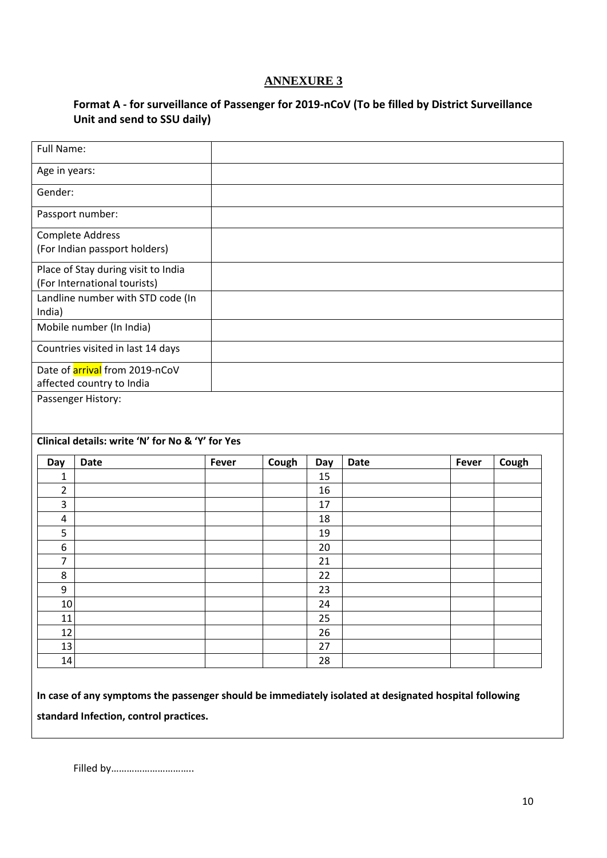# **Format A - for surveillance of Passenger for 2019-nCoV (To be filled by District Surveillance Unit and send to SSU daily)**

| Full Name:    |                                                  |              |       |          |             |              |       |
|---------------|--------------------------------------------------|--------------|-------|----------|-------------|--------------|-------|
| Age in years: |                                                  |              |       |          |             |              |       |
| Gender:       |                                                  |              |       |          |             |              |       |
|               | Passport number:                                 |              |       |          |             |              |       |
|               | <b>Complete Address</b>                          |              |       |          |             |              |       |
|               | (For Indian passport holders)                    |              |       |          |             |              |       |
|               | Place of Stay during visit to India              |              |       |          |             |              |       |
|               | (For International tourists)                     |              |       |          |             |              |       |
| India)        | Landline number with STD code (In                |              |       |          |             |              |       |
|               | Mobile number (In India)                         |              |       |          |             |              |       |
|               | Countries visited in last 14 days                |              |       |          |             |              |       |
|               | Date of <b>arrival</b> from 2019-nCoV            |              |       |          |             |              |       |
|               | affected country to India<br>Passenger History:  |              |       |          |             |              |       |
|               |                                                  |              |       |          |             |              |       |
|               | Clinical details: write 'N' for No & 'Y' for Yes |              |       |          |             |              |       |
| Day           | <b>Date</b>                                      | <b>Fever</b> | Cough | Day      | <b>Date</b> | <b>Fever</b> | Cough |
| 1             |                                                  |              |       | 15       |             |              |       |
| 2             |                                                  |              |       | 16       |             |              |       |
| 3             |                                                  |              |       | 17       |             |              |       |
| 4<br>5        |                                                  |              |       | 18<br>19 |             |              |       |
| 6             |                                                  |              |       | 20       |             |              |       |
| 7             |                                                  |              |       | 21       |             |              |       |
| 8             |                                                  |              |       | 22       |             |              |       |
| 9             |                                                  |              |       | 23       |             |              |       |
| 10            |                                                  |              |       | 24       |             |              |       |
| 11            |                                                  |              |       | 25       |             |              |       |
| 12            |                                                  |              |       | 26       |             |              |       |
| 13            |                                                  |              |       | 27       |             |              |       |
| 14            |                                                  |              |       | 28       |             |              |       |

Filled by…………………………..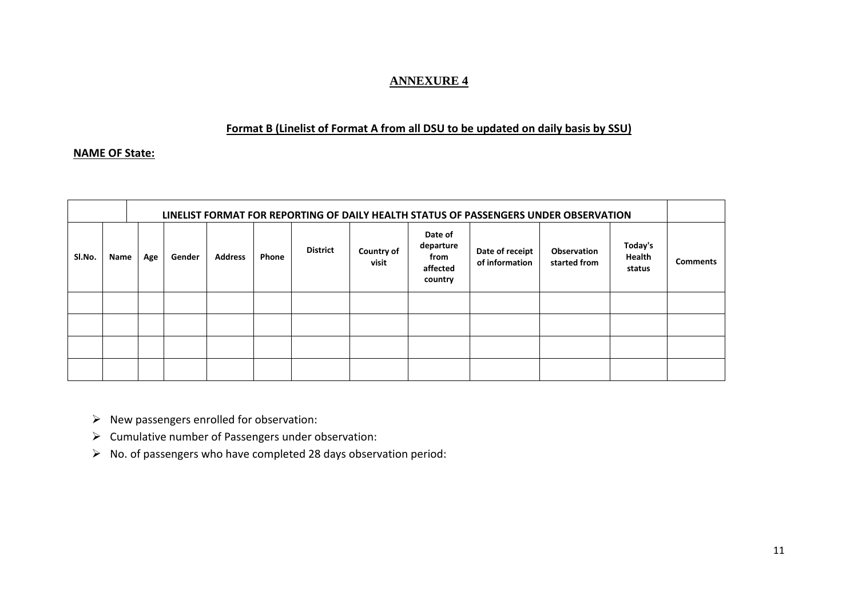### **Format B (Linelist of Format A from all DSU to be updated on daily basis by SSU)**

### **NAME OF State:**

|        |      |     |        |                |       |                 |                            |                                                     | LINELIST FORMAT FOR REPORTING OF DAILY HEALTH STATUS OF PASSENGERS UNDER OBSERVATION |                             |                             |                 |
|--------|------|-----|--------|----------------|-------|-----------------|----------------------------|-----------------------------------------------------|--------------------------------------------------------------------------------------|-----------------------------|-----------------------------|-----------------|
| SI.No. | Name | Age | Gender | <b>Address</b> | Phone | <b>District</b> | <b>Country of</b><br>visit | Date of<br>departure<br>from<br>affected<br>country | Date of receipt<br>of information                                                    | Observation<br>started from | Today's<br>Health<br>status | <b>Comments</b> |
|        |      |     |        |                |       |                 |                            |                                                     |                                                                                      |                             |                             |                 |
|        |      |     |        |                |       |                 |                            |                                                     |                                                                                      |                             |                             |                 |
|        |      |     |        |                |       |                 |                            |                                                     |                                                                                      |                             |                             |                 |
|        |      |     |        |                |       |                 |                            |                                                     |                                                                                      |                             |                             |                 |

- ➢ New passengers enrolled for observation:
- ➢ Cumulative number of Passengers under observation:
- ➢ No. of passengers who have completed 28 days observation period: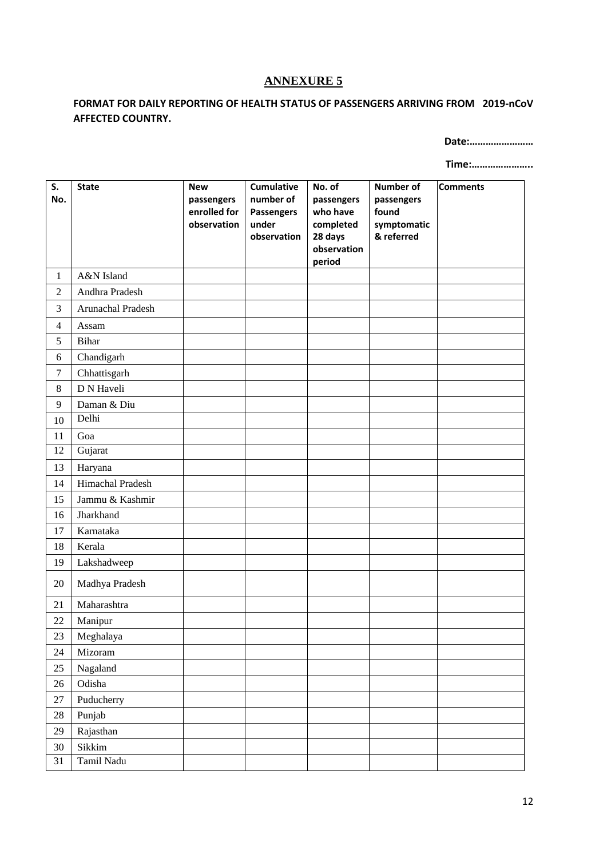## **FORMAT FOR DAILY REPORTING OF HEALTH STATUS OF PASSENGERS ARRIVING FROM 2019-nCoV AFFECTED COUNTRY.**

**Date:……………………**

**Time:…………………..**

| S.<br>No.      | <b>State</b>      | <b>New</b><br>passengers<br>enrolled for | <b>Cumulative</b><br>number of<br>Passengers | No. of<br>passengers<br>who have              | <b>Number of</b><br>passengers<br>found | <b>Comments</b> |
|----------------|-------------------|------------------------------------------|----------------------------------------------|-----------------------------------------------|-----------------------------------------|-----------------|
|                |                   | observation                              | under<br>observation                         | completed<br>28 days<br>observation<br>period | symptomatic<br>& referred               |                 |
| $\mathbf{1}$   | A&N Island        |                                          |                                              |                                               |                                         |                 |
| $\overline{2}$ | Andhra Pradesh    |                                          |                                              |                                               |                                         |                 |
| 3              | Arunachal Pradesh |                                          |                                              |                                               |                                         |                 |
| $\overline{4}$ | Assam             |                                          |                                              |                                               |                                         |                 |
| 5              | <b>Bihar</b>      |                                          |                                              |                                               |                                         |                 |
| $\sqrt{6}$     | Chandigarh        |                                          |                                              |                                               |                                         |                 |
| $\tau$         | Chhattisgarh      |                                          |                                              |                                               |                                         |                 |
| 8              | D N Haveli        |                                          |                                              |                                               |                                         |                 |
| 9              | Daman & Diu       |                                          |                                              |                                               |                                         |                 |
| 10             | Delhi             |                                          |                                              |                                               |                                         |                 |
| 11             | Goa               |                                          |                                              |                                               |                                         |                 |
| 12             | Gujarat           |                                          |                                              |                                               |                                         |                 |
| 13             | Haryana           |                                          |                                              |                                               |                                         |                 |
| 14             | Himachal Pradesh  |                                          |                                              |                                               |                                         |                 |
| 15             | Jammu & Kashmir   |                                          |                                              |                                               |                                         |                 |
| 16             | Jharkhand         |                                          |                                              |                                               |                                         |                 |
| 17             | Karnataka         |                                          |                                              |                                               |                                         |                 |
| 18             | Kerala            |                                          |                                              |                                               |                                         |                 |
| 19             | Lakshadweep       |                                          |                                              |                                               |                                         |                 |
| 20             | Madhya Pradesh    |                                          |                                              |                                               |                                         |                 |
| 21             | Maharashtra       |                                          |                                              |                                               |                                         |                 |
| 22             | Manipur           |                                          |                                              |                                               |                                         |                 |
| 23             | Meghalaya         |                                          |                                              |                                               |                                         |                 |
| 24             | Mizoram           |                                          |                                              |                                               |                                         |                 |
| $25\,$         | Nagaland          |                                          |                                              |                                               |                                         |                 |
| 26             | Odisha            |                                          |                                              |                                               |                                         |                 |
| $27\,$         | Puducherry        |                                          |                                              |                                               |                                         |                 |
| $28\,$         | Punjab            |                                          |                                              |                                               |                                         |                 |
| $29\,$         | Rajasthan         |                                          |                                              |                                               |                                         |                 |
| 30             | Sikkim            |                                          |                                              |                                               |                                         |                 |
| 31             | Tamil Nadu        |                                          |                                              |                                               |                                         |                 |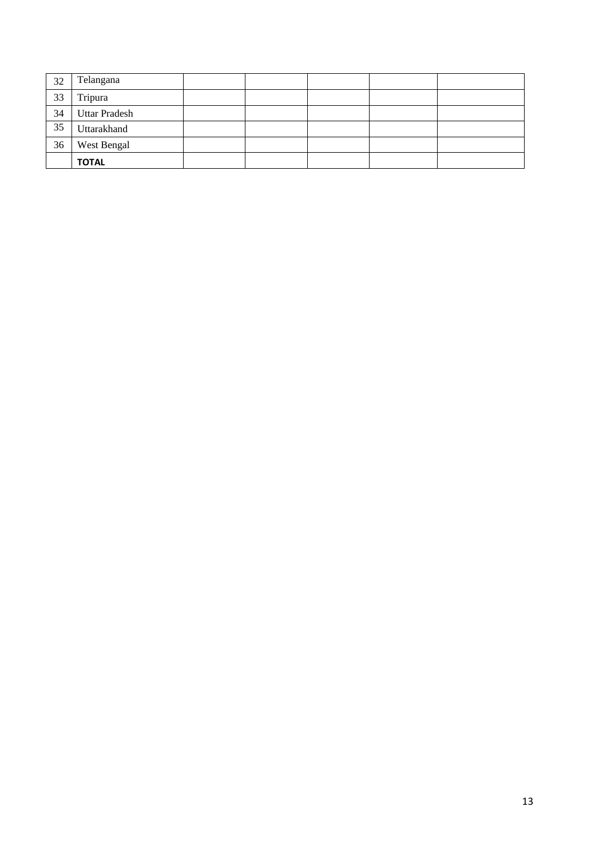| 32 | Telangana            |  |  |  |
|----|----------------------|--|--|--|
| 33 | Tripura              |  |  |  |
| 34 | <b>Uttar Pradesh</b> |  |  |  |
| 35 | Uttarakhand          |  |  |  |
| 36 | West Bengal          |  |  |  |
|    | <b>TOTAL</b>         |  |  |  |